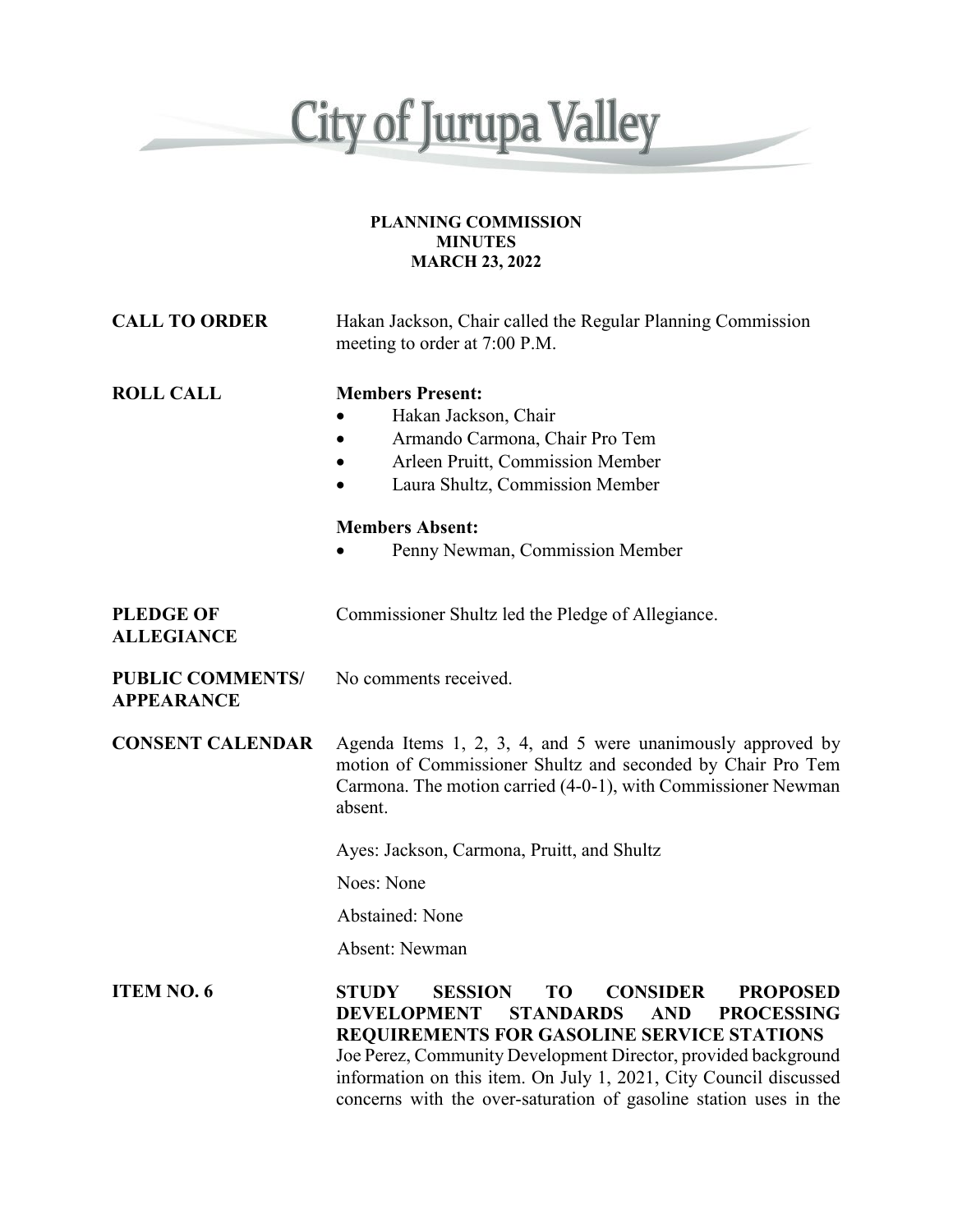

#### **PLANNING COMMISSION MINUTES MARCH 23, 2022**

| <b>CALL TO ORDER</b>                         | Hakan Jackson, Chair called the Regular Planning Commission<br>meeting to order at 7:00 P.M.                                                                                                                                                                                                                                                                                                                                         |
|----------------------------------------------|--------------------------------------------------------------------------------------------------------------------------------------------------------------------------------------------------------------------------------------------------------------------------------------------------------------------------------------------------------------------------------------------------------------------------------------|
| <b>ROLL CALL</b>                             | <b>Members Present:</b><br>Hakan Jackson, Chair<br>Armando Carmona, Chair Pro Tem<br>Arleen Pruitt, Commission Member<br>Laura Shultz, Commission Member                                                                                                                                                                                                                                                                             |
|                                              | <b>Members Absent:</b><br>Penny Newman, Commission Member                                                                                                                                                                                                                                                                                                                                                                            |
| <b>PLEDGE OF</b><br><b>ALLEGIANCE</b>        | Commissioner Shultz led the Pledge of Allegiance.                                                                                                                                                                                                                                                                                                                                                                                    |
| <b>PUBLIC COMMENTS/</b><br><b>APPEARANCE</b> | No comments received.                                                                                                                                                                                                                                                                                                                                                                                                                |
| <b>CONSENT CALENDAR</b>                      | Agenda Items 1, 2, 3, 4, and 5 were unanimously approved by<br>motion of Commissioner Shultz and seconded by Chair Pro Tem<br>Carmona. The motion carried (4-0-1), with Commissioner Newman<br>absent.                                                                                                                                                                                                                               |
|                                              | Ayes: Jackson, Carmona, Pruitt, and Shultz                                                                                                                                                                                                                                                                                                                                                                                           |
|                                              | Noes: None                                                                                                                                                                                                                                                                                                                                                                                                                           |
|                                              | <b>Abstained: None</b>                                                                                                                                                                                                                                                                                                                                                                                                               |
|                                              | Absent: Newman                                                                                                                                                                                                                                                                                                                                                                                                                       |
| <b>ITEM NO. 6</b>                            | <b>STUDY</b><br><b>SESSION</b><br>T <sub>O</sub><br><b>CONSIDER</b><br><b>PROPOSED</b><br><b>STANDARDS</b><br><b>DEVELOPMENT</b><br><b>AND</b><br><b>PROCESSING</b><br><b>REQUIREMENTS FOR GASOLINE SERVICE STATIONS</b><br>Joe Perez, Community Development Director, provided background<br>information on this item. On July 1, 2021, City Council discussed<br>concerns with the over-saturation of gasoline station uses in the |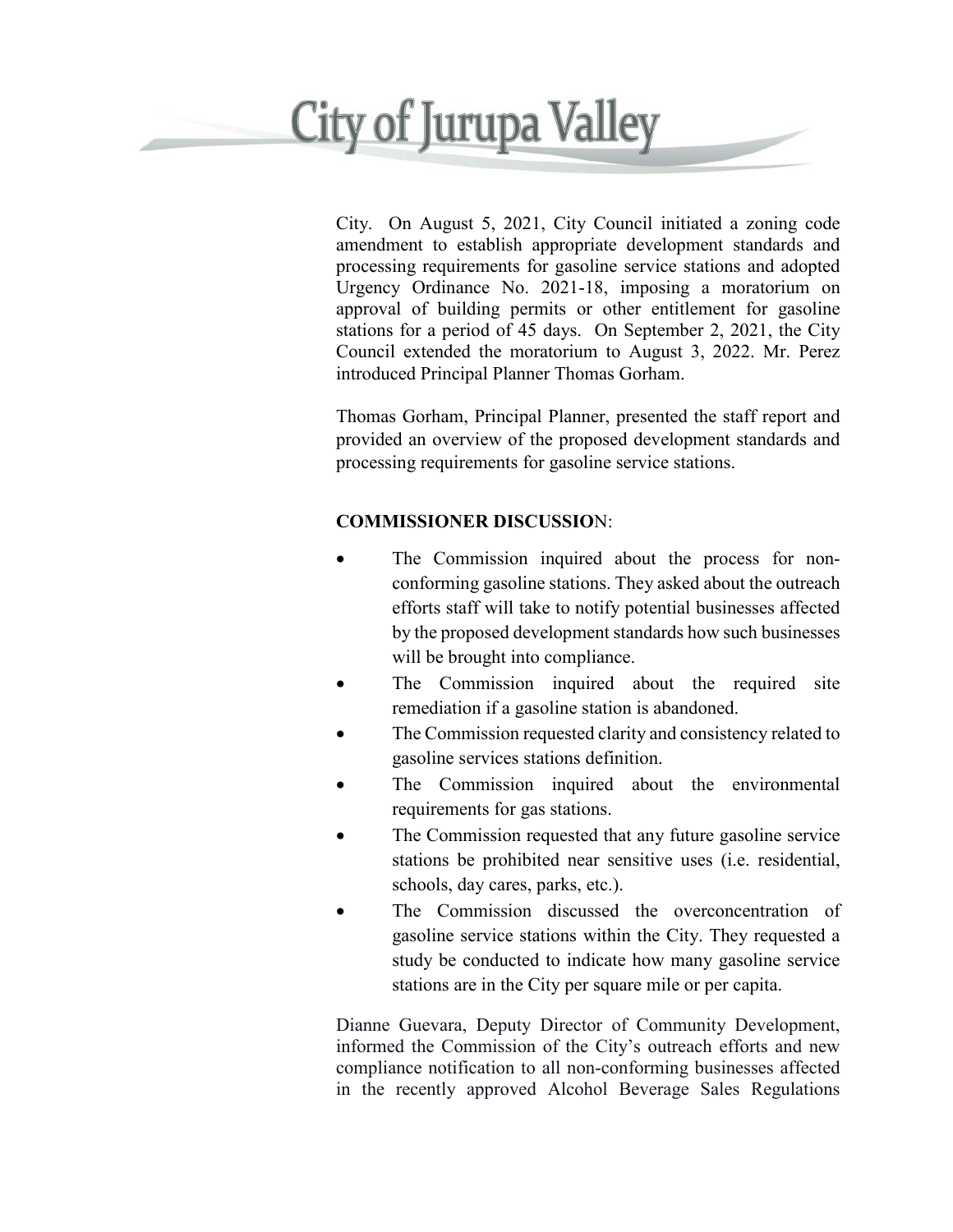## **City of Jurupa Valley**

City. On August 5, 2021, City Council initiated a zoning code amendment to establish appropriate development standards and processing requirements for gasoline service stations and adopted Urgency Ordinance No. 2021-18, imposing a moratorium on approval of building permits or other entitlement for gasoline stations for a period of 45 days. On September 2, 2021, the City Council extended the moratorium to August 3, 2022. Mr. Perez introduced Principal Planner Thomas Gorham.

Thomas Gorham, Principal Planner, presented the staff report and provided an overview of the proposed development standards and processing requirements for gasoline service stations.

### **COMMISSIONER DISCUSSIO**N:

- The Commission inquired about the process for nonconforming gasoline stations. They asked about the outreach efforts staff will take to notify potential businesses affected by the proposed development standards how such businesses will be brought into compliance.
- The Commission inquired about the required site remediation if a gasoline station is abandoned.
- The Commission requested clarity and consistency related to gasoline services stations definition.
- The Commission inquired about the environmental requirements for gas stations.
- The Commission requested that any future gasoline service stations be prohibited near sensitive uses (i.e. residential, schools, day cares, parks, etc.).
- The Commission discussed the overconcentration of gasoline service stations within the City. They requested a study be conducted to indicate how many gasoline service stations are in the City per square mile or per capita.

Dianne Guevara, Deputy Director of Community Development, informed the Commission of the City's outreach efforts and new compliance notification to all non-conforming businesses affected in the recently approved Alcohol Beverage Sales Regulations